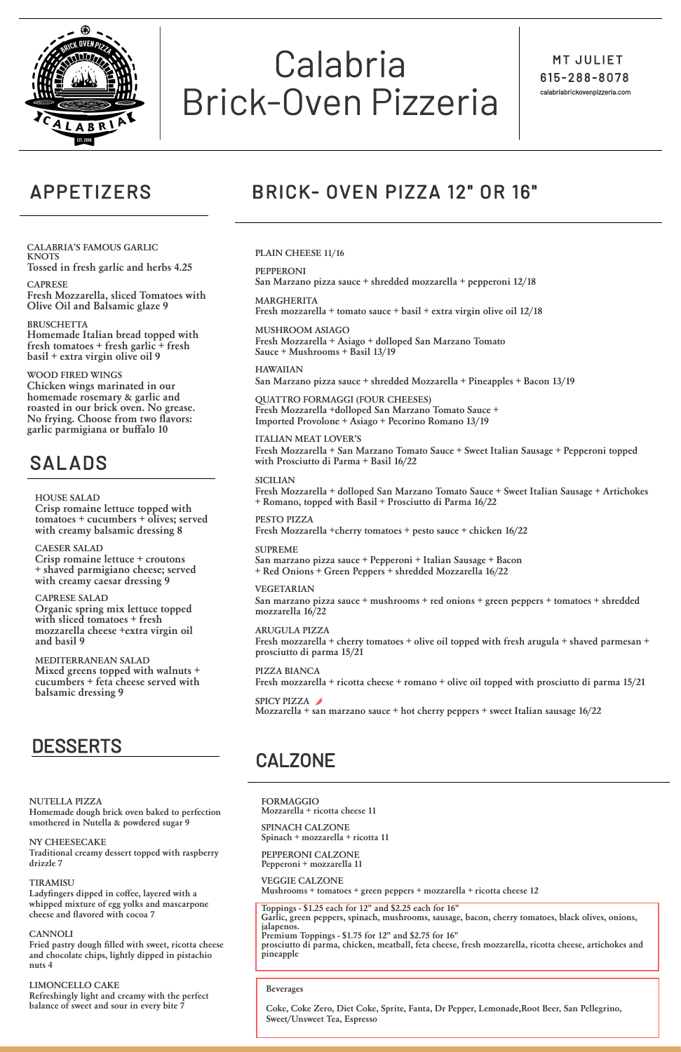

# Calabria Brick-Oven Pizzeria

MT JULIET 61 5 - 2 8 8 - 807 8 calabriabrickovenpizzeria.com

## APPETIZERS BRICK- OVEN PIZZA 12" OR 16"

**CALABRIA'S FAMOUS GARLIC KNOTS Tossed in fresh garlic and herbs 4.25**

#### **CAPRESE**

**Fresh Mozzarella, sliced Tomatoes with Olive Oil and Balsamic glaze 9**

#### **BRUSCHETTA**

**Homemade Italian bread topped with fresh tomatoes + fresh garlic + fresh basil + extra virgin olive oil 9**

#### **WOOD FIRED WINGS**

**Chicken wings marinated in our homemade rosemary & garlic and roasted in our brick oven. No grease. No frying. Choose from two flavors: garlic parmigiana or buffalo 10**

## SALADS

#### **HOUSE SALAD**

**Crisp romaine lettuce topped with tomatoes + cucumbers + olives; served with creamy balsamic dressing 8**

#### **CAESER SALAD**

**Crisp romaine lettuce + croutons + shaved parmigiano cheese; served with creamy caesar dressing 9**

#### **CAPRESE SALAD**

**Organic spring mix lettuce topped with sliced tomatoes + fresh mozzarella cheese +extra virgin oil and basil 9**

**MEDITERRANEAN SALAD Mixed greens topped with walnuts + cucumbers + feta cheese served with balsamic dressing 9**

## DESSERTS

**FORMAGGIO Mozzarella + ricotta cheese 11**

**SPINACH CALZONE Spinach + mozzarella + ricotta 11**

**PEPPERONI CALZONE Pepperoni + mozzarella 11**

#### **VEGGIE CALZONE**

**Mushrooms + tomatoes + green peppers + mozzarella + ricotta cheese 12**

**Toppings - \$1.25 each for 12" and \$2.25 each for 16" Garlic, green peppers, spinach, mushrooms, sausage, bacon, cherry tomatoes, black olives, onions, jalapenos. Premium Toppings - \$1.75 for 12" and \$2.75 for 16" prosciutto di parma, chicken, meatball, feta cheese, fresh mozzarella, ricotta cheese, artichokes and pineapple**

#### **PLAIN CHEESE 11/16**

**PEPPERONI San Marzano pizza sauce + shredded mozzarella + pepperoni 12/18**

#### **MARGHERITA**

**Fresh mozzarella + tomato sauce + basil + extra virgin olive oil 12/18**

#### **MUSHROOM ASIAGO**

**Fresh Mozzarella + Asiago + dolloped San Marzano Tomato Sauce + Mushrooms + Basil 13/19**

**HAWAIIAN San Marzano pizza sauce + shredded Mozzarella + Pineapples + Bacon 13/19**

**QUATTRO FORMAGGI (FOUR CHEESES) Fresh Mozzarella +dolloped San Marzano Tomato Sauce + Imported Provolone + Asiago + Pecorino Romano 13/19**

#### **ITALIAN MEAT LOVER'S**

**Fresh Mozzarella + San Marzano Tomato Sauce + Sweet Italian Sausage + Pepperoni topped with Prosciutto di Parma + Basil 16/22**

#### **SICILIAN**

**Fresh Mozzarella + dolloped San Marzano Tomato Sauce + Sweet Italian Sausage + Artichokes + Romano, topped with Basil + Prosciutto di Parma 16/22**

**PESTO PIZZA Fresh Mozzarella +cherry tomatoes + pesto sauce + chicken 16/22**

#### **SUPREME**

**San marzano pizza sauce + Pepperoni + Italian Sausage + Bacon + Red Onions + Green Peppers + shredded Mozzarella 16/22**

#### **VEGETARIAN**

**San marzano pizza sauce + mushrooms + red onions + green peppers + tomatoes + shredded mozzarella 16/22**

#### **ARUGULA PIZZA**

**Fresh mozzarella + cherry tomatoes + olive oil topped with fresh arugula + shaved parmesan + prosciutto di parma 15/21**

**PIZZA BIANCA Fresh mozzarella + ricotta cheese + romano + olive oil topped with prosciutto di parma 15/21**

#### **SPICY PIZZA**

**Mozzarella + san marzano sauce + hot cherry peppers + sweet Italian sausage 16/22**

## CALZONE

**NUTELLA PIZZA Homemade dough brick oven baked to perfection smothered in Nutella & powdered sugar 9**

#### **NY CHEESECAKE**

**Traditional creamy dessert topped with raspberry drizzle 7**

#### **TIRAMISU**

**Ladyfingers dipped in coffee, layered with a whipped mixture of egg yolks and mascarpone cheese and flavored with cocoa 7**

#### **CANNOLI**

**Fried pastry dough filled with sweet, ricotta cheese and chocolate chips, lightly dipped in pistachio nuts 4**

#### **LIMONCELLO CAKE**

**Refreshingly light and creamy with the perfect balance of sweet and sour in every bite 7**

**Beverages**

**Coke, Coke Zero, Diet Coke, Sprite, Fanta, Dr Pepper, Lemonade,Root Beer, San Pellegrino, Sweet/Unsweet Tea, Espresso**